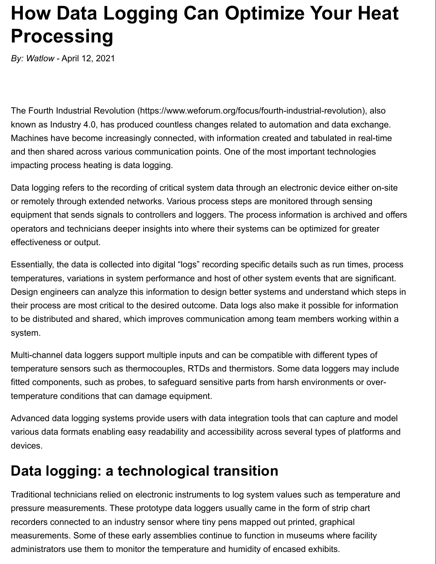# **How Data Logging Can Optimize Your Heat Processing**

*By: Watlow* - April 12, 2021

The Fourth Industrial Revolution (https://www.weforum.org/focus/fourth-industrial-revolution), also known as Industry 4.0, has produced countless changes related to automation and data exchange. Machines have become increasingly connected, with information created and tabulated in real-time and then shared across various communication points. One of the most important technologies impacting process heating is data logging.

Data logging refers to the recording of critical system data through an electronic device either on-site or remotely through extended networks. Various process steps are monitored through sensing equipment that sends signals to controllers and loggers. The process information is archived and offers operators and technicians deeper insights into where their systems can be optimized for greater effectiveness or output.

Essentially, the data is collected into digital "logs" recording specific details such as run times, process temperatures, variations in system performance and host of other system events that are significant. Design engineers can analyze this information to design better systems and understand which steps in their process are most critical to the desired outcome. Data logs also make it possible for information to be distributed and shared, which improves communication among team members working within a system.

Multi-channel data loggers support multiple inputs and can be compatible with different types of temperature sensors such as thermocouples, RTDs and thermistors. Some data loggers may include fitted components, such as probes, to safeguard sensitive parts from harsh environments or overtemperature conditions that can damage equipment.

Advanced data logging systems provide users with data integration tools that can capture and model various data formats enabling easy readability and accessibility across several types of platforms and devices.

### **Data logging: a technological transition**

Traditional technicians relied on electronic instruments to log system values such as temperature and pressure measurements. These prototype data loggers usually came in the form of strip chart recorders connected to an industry sensor where tiny pens mapped out printed, graphical measurements. Some of these early assemblies continue to function in museums where facility administrators use them to monitor the temperature and humidity of encased exhibits.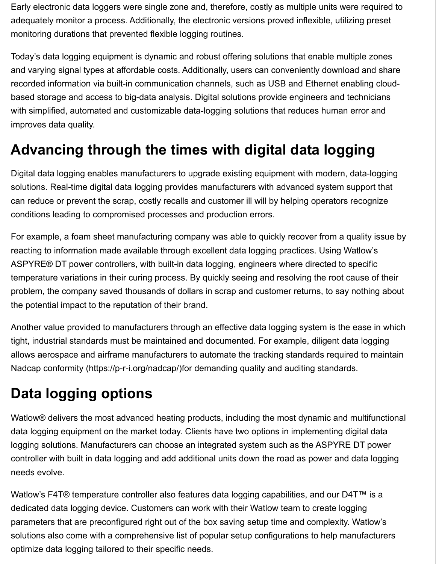Early electronic data loggers were single zone and, therefore, costly as multiple units were required to adequately monitor a process. Additionally, the electronic versions proved inflexible, utilizing preset monitoring durations that prevented flexible logging routines.

Today's data logging equipment is dynamic and robust offering solutions that enable multiple zones and varying signal types at affordable costs. Additionally, users can conveniently download and share recorded information via built-in communication channels, such as USB and Ethernet enabling cloudbased storage and access to big-data analysis. Digital solutions provide engineers and technicians with simplified, automated and customizable data-logging solutions that reduces human error and improves data quality.

### **Advancing through the times with digital data logging**

Digital data logging enables manufacturers to upgrade existing equipment with modern, data-logging solutions. Real-time digital data logging provides manufacturers with advanced system support that can reduce or prevent the scrap, costly recalls and customer ill will by helping operators recognize conditions leading to compromised processes and production errors.

For example, a foam sheet manufacturing company was able to quickly recover from a quality issue by reacting to information made available through excellent data logging practices. Using Watlow's ASPYRE® DT power controllers, with built-in data logging, engineers where directed to specific temperature variations in their curing process. By quickly seeing and resolving the root cause of their problem, the company saved thousands of dollars in scrap and customer returns, to say nothing about the potential impact to the reputation of their brand.

Another value provided to manufacturers through an effective data logging system is the ease in which tight, industrial standards must be maintained and documented. For example, diligent data logging allows aerospace and airframe manufacturers to automate the tracking standards required to maintain Nadcap conformity (https://p-r-i.org/nadcap/)for demanding quality and auditing standards.

#### **Data logging options**

Watlow® delivers the most advanced heating products, including the most dynamic and multifunctional data logging equipment on the market today. Clients have two options in implementing digital data logging solutions. Manufacturers can choose an integrated system such as the ASPYRE DT power controller with built in data logging and add additional units down the road as power and data logging needs evolve.

Watlow's F4T® temperature controller also features data logging capabilities, and our D4T™ is a dedicated data logging device. Customers can work with their Watlow team to create logging parameters that are preconfigured right out of the box saving setup time and complexity. Watlow's solutions also come with a comprehensive list of popular setup configurations to help manufacturers optimize data logging tailored to their specific needs.